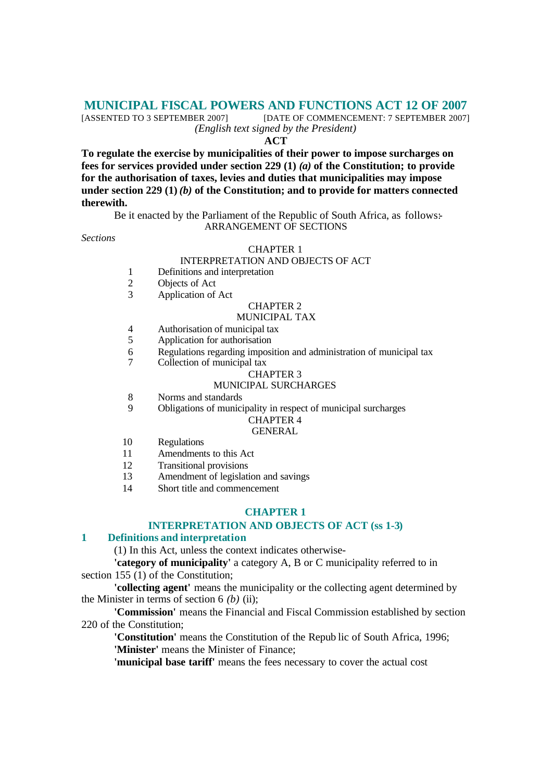# **MUNICIPAL FISCAL POWERS AND FUNCTIONS ACT 12 OF 2007**<br>[ASSENTED TO 3 SEPTEMBER 2007] [DATE OF COMMENCEMENT: 7 SEPTEMBER 2007]

[DATE OF COMMENCEMENT: 7 SEPTEMBER 2007] *(English text signed by the President)*

#### **ACT**

**To regulate the exercise by municipalities of their power to impose surcharges on fees for services provided under section 229 (1)** *(a)* **of the Constitution; to provide for the authorisation of taxes, levies and duties that municipalities may impose under section 229 (1)** *(b)* **of the Constitution; and to provide for matters connected therewith.**

Be it enacted by the Parliament of the Republic of South Africa, as follows: ARRANGEMENT OF SECTIONS

*Sections*

#### CHAPTER 1

#### INTERPRETATION AND OBJECTS OF ACT

- 1 Definitions and interpretation
- 2 Objects of Act
- 3 Application of Act

## CHAPTER 2

## MUNICIPAL TAX

- 4 Authorisation of municipal tax<br>5 Application for authorisation
- Application for authorisation
- 6 Regulations regarding imposition and administration of municipal tax<br>
Collection of municipal tax
- Collection of municipal tax

## CHAPTER 3

### MUNICIPAL SURCHARGES

- 8 Norms and standards
- 9 Obligations of municipality in respect of municipal surcharges

#### CHAPTER 4 **GENERAL**

- 10 Regulations
- 11 Amendments to this Act
- 12 Transitional provisions
- 13 Amendment of legislation and savings
- 14 Short title and commencement

#### **CHAPTER 1**

# **INTERPRETATION AND OBJECTS OF ACT (ss 1-3)**

## **1 Definitions and interpretation**

(1) In this Act, unless the context indicates otherwise-

**'category of municipality'** a category A, B or C municipality referred to in section 155 (1) of the Constitution;

**'collecting agent'** means the municipality or the collecting agent determined by the Minister in terms of section 6 *(b)* (ii);

**'Commission'** means the Financial and Fiscal Commission established by section 220 of the Constitution;

**'Constitution'** means the Constitution of the Repub lic of South Africa, 1996; **'Minister'** means the Minister of Finance;

**'municipal base tariff'** means the fees necessary to cover the actual cost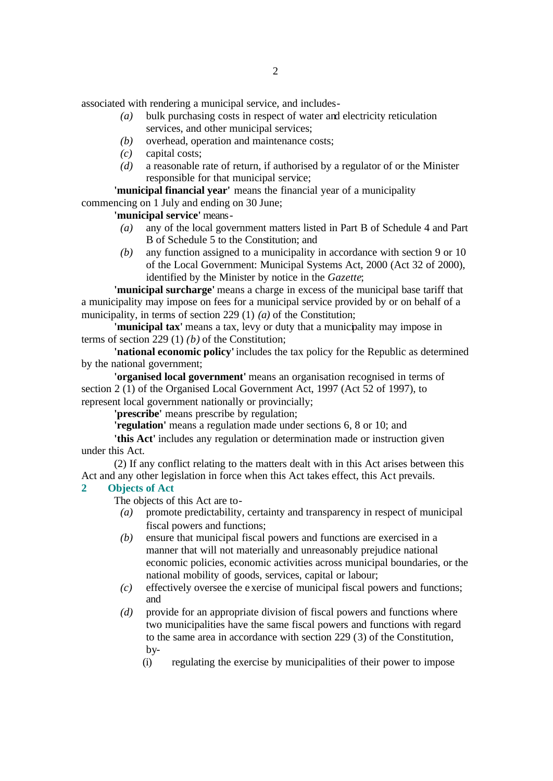associated with rendering a municipal service, and includes-

- *(a)* bulk purchasing costs in respect of water and electricity reticulation services, and other municipal services;
- *(b)* overhead, operation and maintenance costs;
- *(c)* capital costs;
- *(d)* a reasonable rate of return, if authorised by a regulator of or the Minister responsible for that municipal service;

**'municipal financial year'** means the financial year of a municipality

commencing on 1 July and ending on 30 June;

**'municipal service'** means-

- *(a)* any of the local government matters listed in Part B of Schedule 4 and Part B of Schedule 5 to the Constitution; and
- *(b)* any function assigned to a municipality in accordance with section 9 or 10 of the Local Government: Municipal Systems Act, 2000 (Act 32 of 2000), identified by the Minister by notice in the *Gazette*;

**'municipal surcharge'** means a charge in excess of the municipal base tariff that a municipality may impose on fees for a municipal service provided by or on behalf of a municipality, in terms of section 229 (1) *(a)* of the Constitution;

**'municipal tax'** means a tax, levy or duty that a municipality may impose in terms of section 229 (1) *(b)* of the Constitution;

**'national economic policy'** includes the tax policy for the Republic as determined by the national government;

**'organised local government'** means an organisation recognised in terms of section 2 (1) of the Organised Local Government Act, 1997 (Act 52 of 1997), to represent local government nationally or provincially;

**'prescribe'** means prescribe by regulation;

**'regulation'** means a regulation made under sections 6, 8 or 10; and

**'this Act'** includes any regulation or determination made or instruction given under this Act.

(2) If any conflict relating to the matters dealt with in this Act arises between this Act and any other legislation in force when this Act takes effect, this Act prevails.

# **2 Objects of Act**

The objects of this Act are to-

- *(a)* promote predictability, certainty and transparency in respect of municipal fiscal powers and functions;
- *(b)* ensure that municipal fiscal powers and functions are exercised in a manner that will not materially and unreasonably prejudice national economic policies, economic activities across municipal boundaries, or the national mobility of goods, services, capital or labour;
- *(c)* effectively oversee the exercise of municipal fiscal powers and functions; and
- *(d)* provide for an appropriate division of fiscal powers and functions where two municipalities have the same fiscal powers and functions with regard to the same area in accordance with section 229 (3) of the Constitution, by-
	- (i) regulating the exercise by municipalities of their power to impose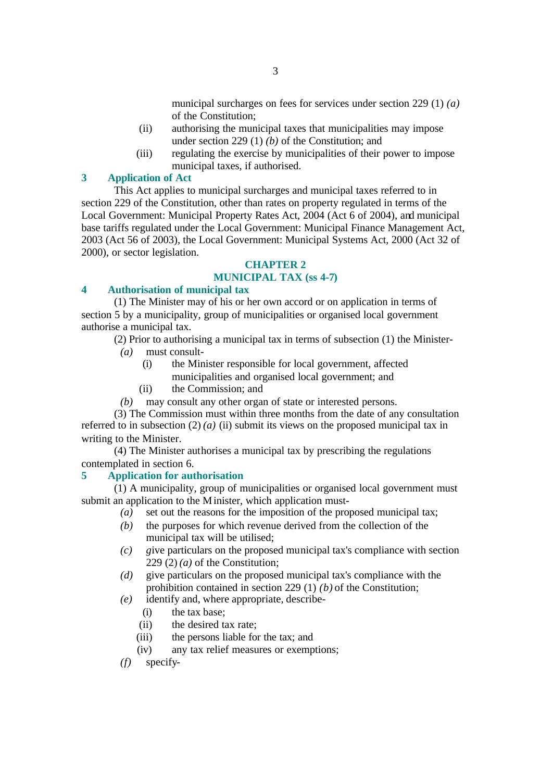municipal surcharges on fees for services under section 229 (1) *(a)*  of the Constitution;

- (ii) authorising the municipal taxes that municipalities may impose under section 229 (1) *(b)* of the Constitution; and
- (iii) regulating the exercise by municipalities of their power to impose municipal taxes, if authorised.

# **3 Application of Act**

This Act applies to municipal surcharges and municipal taxes referred to in section 229 of the Constitution, other than rates on property regulated in terms of the Local Government: Municipal Property Rates Act, 2004 (Act 6 of 2004), and municipal base tariffs regulated under the Local Government: Municipal Finance Management Act, 2003 (Act 56 of 2003), the Local Government: Municipal Systems Act, 2000 (Act 32 of 2000), or sector legislation.

# **CHAPTER 2**

# **MUNICIPAL TAX (ss 4-7)**

# **4 Authorisation of municipal tax**

(1) The Minister may of his or her own accord or on application in terms of section 5 by a municipality, group of municipalities or organised local government authorise a municipal tax.

(2) Prior to authorising a municipal tax in terms of subsection (1) the Minister-

- *(a)* must consult-
	- (i) the Minister responsible for local government, affected municipalities and organised local government; and
	- (ii) the Commission; and
- *(b)* may consult any other organ of state or interested persons.

(3) The Commission must within three months from the date of any consultation referred to in subsection  $(2)$  *(a) (ii)* submit its views on the proposed municipal tax in writing to the Minister.

(4) The Minister authorises a municipal tax by prescribing the regulations contemplated in section 6.

# **5 Application for authorisation**

(1) A municipality, group of municipalities or organised local government must submit an application to the Minister, which application must-

- $(a)$  set out the reasons for the imposition of the proposed municipal tax;
- *(b)* the purposes for which revenue derived from the collection of the municipal tax will be utilised;
- *(c) g*ive particulars on the proposed municipal tax's compliance with section 229 $(2)(a)$  of the Constitution;
- *(d)* give particulars on the proposed municipal tax's compliance with the prohibition contained in section 229 (1) *(b)* of the Constitution;
- *(e)* identify and, where appropriate, describe-
	- (i) the tax base;
	- (ii) the desired tax rate;
	- (iii) the persons liable for the tax; and
	- (iv) any tax relief measures or exemptions;
- *(f)* specify-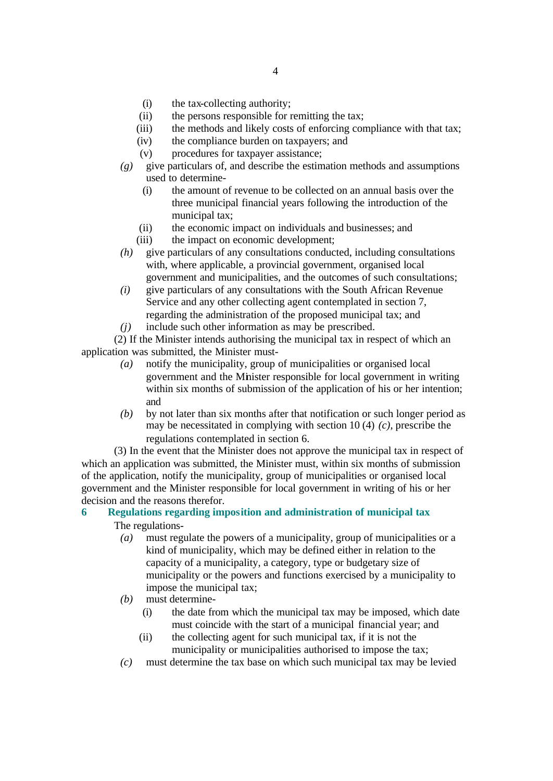- (i) the tax-collecting authority;
- (ii) the persons responsible for remitting the tax;
- (iii) the methods and likely costs of enforcing compliance with that tax;
- (iv) the compliance burden on taxpayers; and
- (v) procedures for taxpayer assistance;
- *(g)* give particulars of, and describe the estimation methods and assumptions used to determine-
	- (i) the amount of revenue to be collected on an annual basis over the three municipal financial years following the introduction of the municipal tax;
	- (ii) the economic impact on individuals and businesses; and
	- (iii) the impact on economic development;
- *(h)* give particulars of any consultations conducted, including consultations with, where applicable, a provincial government, organised local government and municipalities, and the outcomes of such consultations;
- *(i)* give particulars of any consultations with the South African Revenue Service and any other collecting agent contemplated in section 7, regarding the administration of the proposed municipal tax; and
- *(j)* include such other information as may be prescribed.

(2) If the Minister intends authorising the municipal tax in respect of which an application was submitted, the Minister must-

- *(a)* notify the municipality, group of municipalities or organised local government and the Minister responsible for local government in writing within six months of submission of the application of his or her intention; and
- *(b)* by not later than six months after that notification or such longer period as may be necessitated in complying with section 10 (4) *(c)*, prescribe the regulations contemplated in section 6.

(3) In the event that the Minister does not approve the municipal tax in respect of which an application was submitted, the Minister must, within six months of submission of the application, notify the municipality, group of municipalities or organised local government and the Minister responsible for local government in writing of his or her decision and the reasons therefor.

# **6 Regulations regarding imposition and administration of municipal tax** The regulations-

- - *(a)* must regulate the powers of a municipality, group of municipalities or a kind of municipality, which may be defined either in relation to the capacity of a municipality, a category, type or budgetary size of municipality or the powers and functions exercised by a municipality to impose the municipal tax;
	- *(b)* must determine-
		- (i) the date from which the municipal tax may be imposed, which date must coincide with the start of a municipal financial year; and
		- (ii) the collecting agent for such municipal tax, if it is not the municipality or municipalities authorised to impose the tax;
	- *(c)* must determine the tax base on which such municipal tax may be levied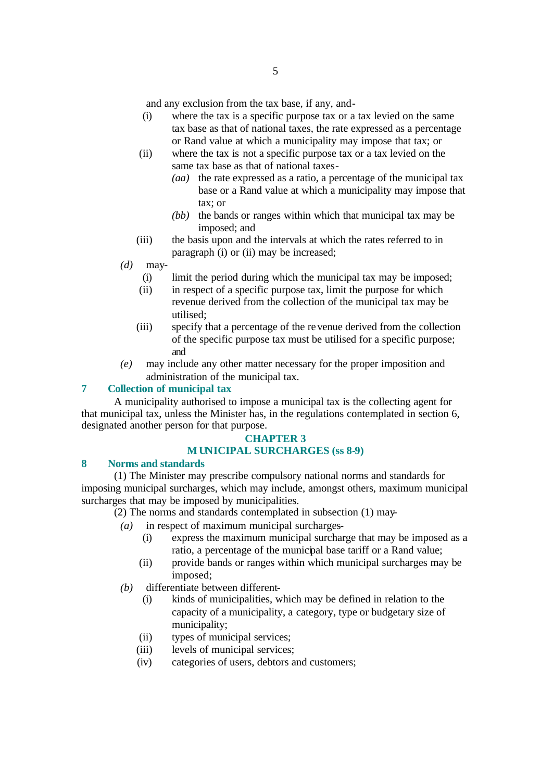and any exclusion from the tax base, if any, and-

- (i) where the tax is a specific purpose tax or a tax levied on the same tax base as that of national taxes, the rate expressed as a percentage or Rand value at which a municipality may impose that tax; or
- (ii) where the tax is not a specific purpose tax or a tax levied on the same tax base as that of national taxes-
	- *(aa)* the rate expressed as a ratio, a percentage of the municipal tax base or a Rand value at which a municipality may impose that tax; or
	- *(bb)* the bands or ranges within which that municipal tax may be imposed; and
- (iii) the basis upon and the intervals at which the rates referred to in paragraph (i) or (ii) may be increased;
- *(d)* may-
	- (i) limit the period during which the municipal tax may be imposed;
	- (ii) in respect of a specific purpose tax, limit the purpose for which revenue derived from the collection of the municipal tax may be utilised;
	- (iii) specify that a percentage of the revenue derived from the collection of the specific purpose tax must be utilised for a specific purpose; and
- *(e)* may include any other matter necessary for the proper imposition and administration of the municipal tax.

# **7 Collection of municipal tax**

A municipality authorised to impose a municipal tax is the collecting agent for that municipal tax, unless the Minister has, in the regulations contemplated in section 6, designated another person for that purpose.

# **CHAPTER 3 MUNICIPAL SURCHARGES (ss 8-9)**

# **8 Norms and standards**

(1) The Minister may prescribe compulsory national norms and standards for imposing municipal surcharges, which may include, amongst others, maximum municipal surcharges that may be imposed by municipalities.

- (2) The norms and standards contemplated in subsection (1) may-
	- *(a)* in respect of maximum municipal surcharges-
		- (i) express the maximum municipal surcharge that may be imposed as a ratio, a percentage of the municipal base tariff or a Rand value;
		- (ii) provide bands or ranges within which municipal surcharges may be imposed;
	- *(b)* differentiate between different-
		- (i) kinds of municipalities, which may be defined in relation to the capacity of a municipality, a category, type or budgetary size of municipality;
		- (ii) types of municipal services;
		- (iii) levels of municipal services;
		- (iv) categories of users, debtors and customers;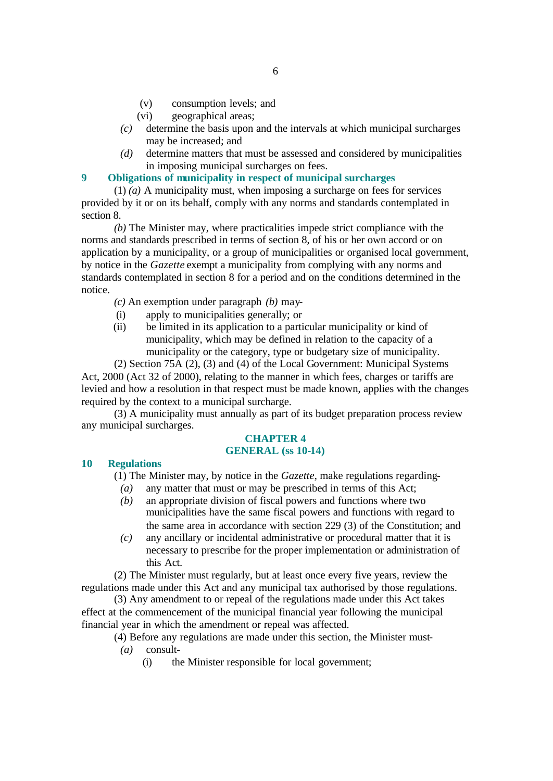- (v) consumption levels; and
- (vi) geographical areas;
- *(c)* determine the basis upon and the intervals at which municipal surcharges may be increased; and
- *(d)* determine matters that must be assessed and considered by municipalities in imposing municipal surcharges on fees.

# **9 Obligations of municipality in respect of municipal surcharges**

(1) *(a)* A municipality must, when imposing a surcharge on fees for services provided by it or on its behalf, comply with any norms and standards contemplated in section 8.

*(b)* The Minister may, where practicalities impede strict compliance with the norms and standards prescribed in terms of section 8, of his or her own accord or on application by a municipality, or a group of municipalities or organised local government, by notice in the *Gazette* exempt a municipality from complying with any norms and standards contemplated in section 8 for a period and on the conditions determined in the notice.

- *(c)* An exemption under paragraph *(b)* may-
- (i) apply to municipalities generally; or
- (ii) be limited in its application to a particular municipality or kind of municipality, which may be defined in relation to the capacity of a municipality or the category, type or budgetary size of municipality.

(2) Section 75A (2), (3) and (4) of the Local Government: Municipal Systems

Act, 2000 (Act 32 of 2000), relating to the manner in which fees, charges or tariffs are levied and how a resolution in that respect must be made known, applies with the changes required by the context to a municipal surcharge.

(3) A municipality must annually as part of its budget preparation process review any municipal surcharges.

### **CHAPTER 4 GENERAL (ss 10-14)**

## **10 Regulations**

(1) The Minister may, by notice in the *Gazette*, make regulations regarding-

- *(a)* any matter that must or may be prescribed in terms of this Act;
- *(b)* an appropriate division of fiscal powers and functions where two municipalities have the same fiscal powers and functions with regard to the same area in accordance with section 229 (3) of the Constitution; and
- *(c)* any ancillary or incidental administrative or procedural matter that it is necessary to prescribe for the proper implementation or administration of this Act.

(2) The Minister must regularly, but at least once every five years, review the regulations made under this Act and any municipal tax authorised by those regulations.

(3) Any amendment to or repeal of the regulations made under this Act takes effect at the commencement of the municipal financial year following the municipal financial year in which the amendment or repeal was affected.

(4) Before any regulations are made under this section, the Minister must-

- *(a)* consult-
	- (i) the Minister responsible for local government;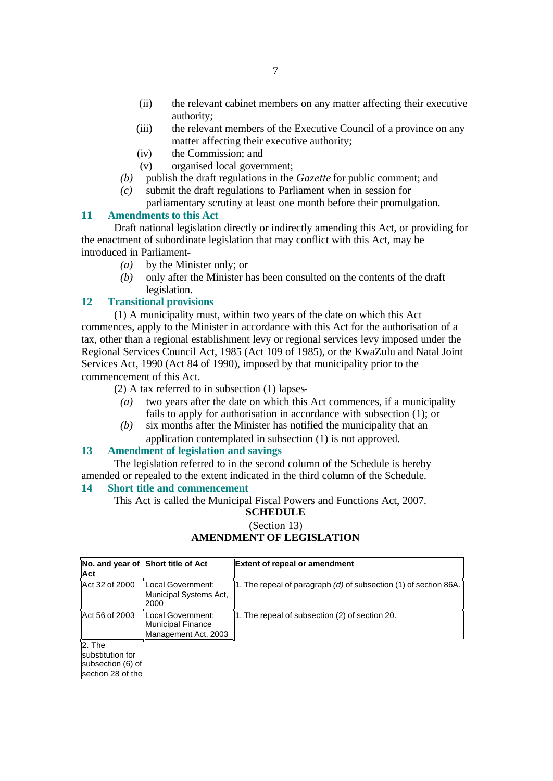- (ii) the relevant cabinet members on any matter affecting their executive authority;
- (iii) the relevant members of the Executive Council of a province on any matter affecting their executive authority;
- (iv) the Commission; and
- (v) organised local government;
- *(b)* publish the draft regulations in the *Gazette* for public comment; and
- *(c)* submit the draft regulations to Parliament when in session for parliamentary scrutiny at least one month before their promulgation.

# **11 Amendments to this Act**

Draft national legislation directly or indirectly amending this Act, or providing for the enactment of subordinate legislation that may conflict with this Act, may be introduced in Parliament-

- *(a)* by the Minister only; or
- *(b)* only after the Minister has been consulted on the contents of the draft legislation.

# **12 Transitional provisions**

(1) A municipality must, within two years of the date on which this Act commences, apply to the Minister in accordance with this Act for the authorisation of a tax, other than a regional establishment levy or regional services levy imposed under the Regional Services Council Act, 1985 (Act 109 of 1985), or the KwaZulu and Natal Joint Services Act, 1990 (Act 84 of 1990), imposed by that municipality prior to the commencement of this Act.

(2) A tax referred to in subsection (1) lapses-

- *(a)* two years after the date on which this Act commences, if a municipality fails to apply for authorisation in accordance with subsection (1); or
- *(b)* six months after the Minister has notified the municipality that an application contemplated in subsection (1) is not approved.

# **13 Amendment of legislation and savings**

The legislation referred to in the second column of the Schedule is hereby amended or repealed to the extent indicated in the third column of the Schedule.

## **14 Short title and commencement**

This Act is called the Municipal Fiscal Powers and Functions Act, 2007. **SCHEDULE**

# (Section 13) **AMENDMENT OF LEGISLATION**

| Act                                                                  | No. and year of Short title of Act                             | <b>Extent of repeal or amendment</b>                                 |
|----------------------------------------------------------------------|----------------------------------------------------------------|----------------------------------------------------------------------|
| Act 32 of 2000                                                       | Local Government:<br>Municipal Systems Act,<br>2000            | 1. The repeal of paragraph $(d)$ of subsection $(1)$ of section 86A. |
| Act 56 of 2003                                                       | Local Government:<br>Municipal Finance<br>Management Act, 2003 | 1. The repeal of subsection (2) of section 20.                       |
| 2. The<br>substitution for<br>subsection (6) of<br>section 28 of the |                                                                |                                                                      |